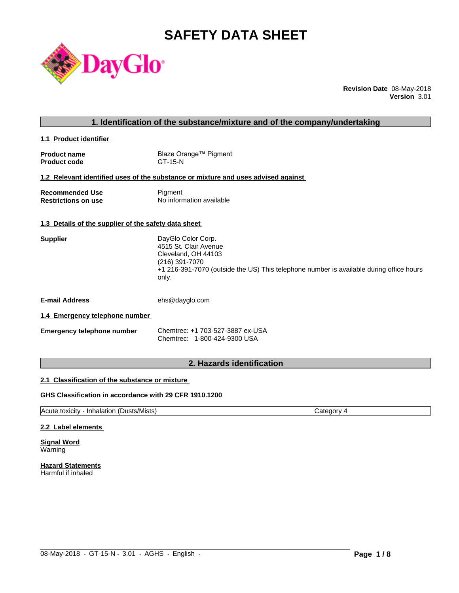# **SAFETY DATA SHEET**



**Revision Date** 08-May-2018 **Version** 3.01

# **1. Identification of the substance/mixture and of the company/undertaking**

**1.1 Product identifier** 

| <b>Product name</b> | Blaze Orange™ Pigment |
|---------------------|-----------------------|
| <b>Product code</b> | GT-15-N               |

# **1.2 Relevant identified uses of the substance or mixture and uses advised against**

| <b>Recommended Use</b>     | Pigment                  |
|----------------------------|--------------------------|
| <b>Restrictions on use</b> | No information available |

#### **1.3 Details of the supplier of the safety data sheet**

| Supplier | DayGlo Color Corp.                                                                               |
|----------|--------------------------------------------------------------------------------------------------|
|          | 4515 St. Clair Avenue                                                                            |
|          | Cleveland, OH 44103                                                                              |
|          | (216) 391-7070                                                                                   |
|          | +1 216-391-7070 (outside the US) This telephone number is available during office hours<br>only. |
|          |                                                                                                  |

**E-mail Address** ehs@dayglo.com

#### **1.4 Emergency telephone number**

| <b>Emergency telephone number</b> | Chemtrec: +1 703-527-3887 ex-USA |
|-----------------------------------|----------------------------------|
|                                   | Chemtrec: 1-800-424-9300 USA     |

# **2. Hazards identification**

#### **2.1 Classification of the substance or mixture**

### **GHS Classification in accordance with 29 CFR 1910.1200**

Acute toxicity - Inhalation (Dusts/Mists) Category 4

 $\_$  ,  $\_$  ,  $\_$  ,  $\_$  ,  $\_$  ,  $\_$  ,  $\_$  ,  $\_$  ,  $\_$  ,  $\_$  ,  $\_$  ,  $\_$  ,  $\_$  ,  $\_$  ,  $\_$  ,  $\_$  ,  $\_$  ,  $\_$  ,  $\_$  ,  $\_$  ,  $\_$  ,  $\_$  ,  $\_$  ,  $\_$  ,  $\_$  ,  $\_$  ,  $\_$  ,  $\_$  ,  $\_$  ,  $\_$  ,  $\_$  ,  $\_$  ,  $\_$  ,  $\_$  ,  $\_$  ,  $\_$  ,  $\_$  ,

#### **2.2 Label elements**

**Signal Word** Warning

**Hazard Statements** Harmful if inhaled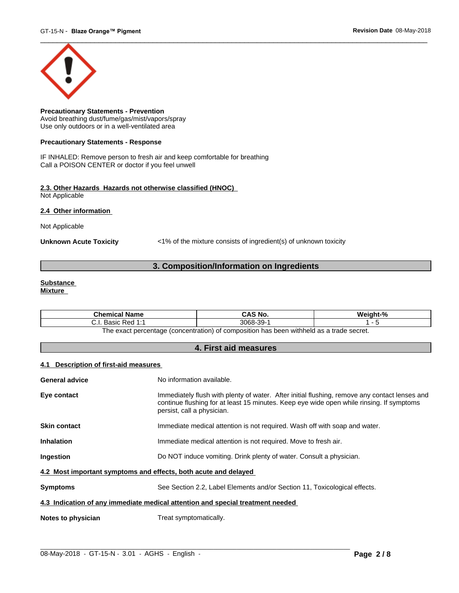

**Precautionary Statements - Prevention** Avoid breathing dust/fume/gas/mist/vapors/spray Use only outdoors or in a well-ventilated area

#### **Precautionary Statements - Response**

IF INHALED: Remove person to fresh air and keep comfortable for breathing Call a POISON CENTER or doctor if you feel unwell

#### **2.3. Other Hazards Hazards not otherwise classified (HNOC)** Not Applicable

**2.4 Other information** 

Not Applicable

**Unknown Acute Toxicity** <1% of the mixture consists of ingredient(s) of unknown toxicity

# **3. Composition/Information on Ingredients**

#### **Substance Mixture**

| Chemical<br>l Name                                                                              | CAS No.             | Mainht <sub>-</sub> % |  |  |
|-------------------------------------------------------------------------------------------------|---------------------|-----------------------|--|--|
| 4.4<br>: Red<br><b>Doole</b><br>. ۱. ب<br>sasiv<br>.                                            | -30-<br>3068-<br>ັບ |                       |  |  |
| tannes ahert e ze hladdiw naad sa t<br>: nercentage (concentration) of composition<br>∣h≙ ≙¥a∩t |                     |                       |  |  |

The exact percentage (concentration) of composition has been withheld as a trade secret.

### **4. First aid measures**

#### **4.1 Description of first-aid measures**

| <b>General advice</b>                                                          | No information available.                                                                                                                                                                                               |  |  |
|--------------------------------------------------------------------------------|-------------------------------------------------------------------------------------------------------------------------------------------------------------------------------------------------------------------------|--|--|
| Eye contact                                                                    | Immediately flush with plenty of water. After initial flushing, remove any contact lenses and<br>continue flushing for at least 15 minutes. Keep eye wide open while rinsing. If symptoms<br>persist, call a physician. |  |  |
| <b>Skin contact</b>                                                            | Immediate medical attention is not required. Wash off with soap and water.                                                                                                                                              |  |  |
| <b>Inhalation</b>                                                              | Immediate medical attention is not required. Move to fresh air.                                                                                                                                                         |  |  |
| <b>Ingestion</b>                                                               | Do NOT induce vomiting. Drink plenty of water. Consult a physician.                                                                                                                                                     |  |  |
| 4.2 Most important symptoms and effects, both acute and delayed                |                                                                                                                                                                                                                         |  |  |
| <b>Symptoms</b>                                                                | See Section 2.2, Label Elements and/or Section 11, Toxicological effects.                                                                                                                                               |  |  |
| 4.3 Indication of any immediate medical attention and special treatment needed |                                                                                                                                                                                                                         |  |  |
| Notes to physician                                                             | Treat symptomatically.                                                                                                                                                                                                  |  |  |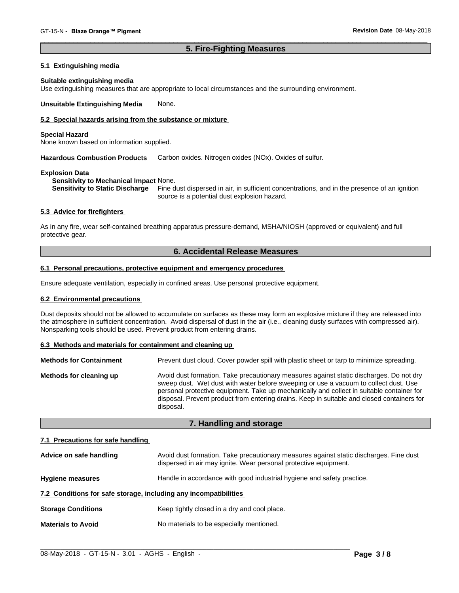### **5. Fire-Fighting Measures**

#### **5.1 Extinguishing media**

#### **Suitable extinguishing media**

Use extinguishing measures that are appropriate to local circumstances and the surrounding environment.

**Unsuitable Extinguishing Media** None.

### **5.2 Special hazards arising from the substance or mixture**

#### **Special Hazard**

None known based on information supplied.

**Hazardous Combustion Products** Carbon oxides. Nitrogen oxides (NOx). Oxides of sulfur.

#### **Explosion Data**

**Sensitivity to Mechanical Impact** None.

**Sensitivity to Static Discharge** Fine dust dispersed in air, in sufficient concentrations, and in the presence of an ignition source is a potential dust explosion hazard.

#### **5.3 Advice for firefighters**

As in any fire, wear self-contained breathing apparatus pressure-demand, MSHA/NIOSH (approved or equivalent) and full protective gear.

### **6. Accidental Release Measures**

#### **6.1 Personal precautions, protective equipment and emergency procedures**

Ensure adequate ventilation, especially in confined areas. Use personal protective equipment.

#### **6.2 Environmental precautions**

Dust deposits should not be allowed to accumulate on surfaces as these may form an explosive mixture if they are released into the atmosphere in sufficient concentration. Avoid dispersal of dust in the air (i.e., cleaning dusty surfaces with compressed air). Nonsparking tools should be used. Prevent product from entering drains.

#### **6.3 Methods and materials for containment and cleaning up**

| <b>Methods for Containment</b> | Prevent dust cloud. Cover powder spill with plastic sheet or tarp to minimize spreading.                                                                                                                                                                                                                                                                                                |
|--------------------------------|-----------------------------------------------------------------------------------------------------------------------------------------------------------------------------------------------------------------------------------------------------------------------------------------------------------------------------------------------------------------------------------------|
| Methods for cleaning up        | Avoid dust formation. Take precautionary measures against static discharges. Do not dry<br>sweep dust. Wet dust with water before sweeping or use a vacuum to collect dust. Use<br>personal protective equipment. Take up mechanically and collect in suitable container for<br>disposal. Prevent product from entering drains. Keep in suitable and closed containers for<br>disposal. |

### **7. Handling and storage**

#### **7.1 Precautions for safe handling**

| Advice on safe handling                                          | Avoid dust formation. Take precautionary measures against static discharges. Fine dust<br>dispersed in air may ignite. Wear personal protective equipment. |
|------------------------------------------------------------------|------------------------------------------------------------------------------------------------------------------------------------------------------------|
| <b>Hygiene measures</b>                                          | Handle in accordance with good industrial hygiene and safety practice.                                                                                     |
| 7.2 Conditions for safe storage, including any incompatibilities |                                                                                                                                                            |
| <b>Storage Conditions</b>                                        | Keep tightly closed in a dry and cool place.                                                                                                               |
| <b>Materials to Avoid</b>                                        | No materials to be especially mentioned.                                                                                                                   |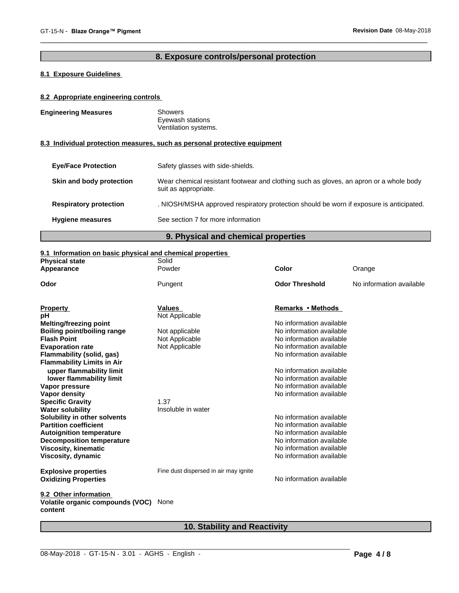# **8. Exposure controls/personal protection**

# **8.1 Exposure Guidelines**

### **8.2 Appropriate engineering controls**

| <b>Engineering Measures</b>   | <b>Showers</b><br>Eyewash stations<br>Ventilation systems.                                                     |
|-------------------------------|----------------------------------------------------------------------------------------------------------------|
|                               | 8.3 Individual protection measures, such as personal protective equipment                                      |
| <b>Eve/Face Protection</b>    | Safety glasses with side-shields.                                                                              |
| Skin and body protection      | Wear chemical resistant footwear and clothing such as gloves, an apron or a whole body<br>suit as appropriate. |
| <b>Respiratory protection</b> | . NIOSH/MSHA approved respiratory protection should be worn if exposure is anticipated.                        |
| <b>Hygiene measures</b>       | See section 7 for more information                                                                             |
|                               |                                                                                                                |

# **9. Physical and chemical properties**

### **9.1 Information on basic physical and chemical properties**

| <b>Physical state</b>                       | Solid                                 |                          |                          |
|---------------------------------------------|---------------------------------------|--------------------------|--------------------------|
| Appearance                                  | Powder                                | <b>Color</b>             | Orange                   |
| Odor                                        | Pungent                               | <b>Odor Threshold</b>    | No information available |
| <b>Property</b>                             | <b>Values</b>                         | Remarks • Methods        |                          |
| рH                                          | Not Applicable                        |                          |                          |
| <b>Melting/freezing point</b>               |                                       | No information available |                          |
| <b>Boiling point/boiling range</b>          | Not applicable                        | No information available |                          |
| <b>Flash Point</b>                          | Not Applicable                        | No information available |                          |
| <b>Evaporation rate</b>                     | Not Applicable                        | No information available |                          |
| Flammability (solid, gas)                   |                                       | No information available |                          |
| <b>Flammability Limits in Air</b>           |                                       |                          |                          |
| upper flammability limit                    |                                       | No information available |                          |
| lower flammability limit                    |                                       | No information available |                          |
| Vapor pressure                              |                                       | No information available |                          |
| Vapor density                               |                                       | No information available |                          |
| <b>Specific Gravity</b>                     | 1.37                                  |                          |                          |
| <b>Water solubility</b>                     | Insoluble in water                    |                          |                          |
| Solubility in other solvents                |                                       | No information available |                          |
| <b>Partition coefficient</b>                |                                       | No information available |                          |
| <b>Autoignition temperature</b>             |                                       | No information available |                          |
| <b>Decomposition temperature</b>            |                                       | No information available |                          |
| <b>Viscosity, kinematic</b>                 |                                       | No information available |                          |
| Viscosity, dynamic                          |                                       | No information available |                          |
| <b>Explosive properties</b>                 | Fine dust dispersed in air may ignite |                          |                          |
| <b>Oxidizing Properties</b>                 |                                       | No information available |                          |
| 9.2 Other information                       |                                       |                          |                          |
| Volatile organic compounds (VOC)<br>content | None                                  |                          |                          |

# **10. Stability and Reactivity**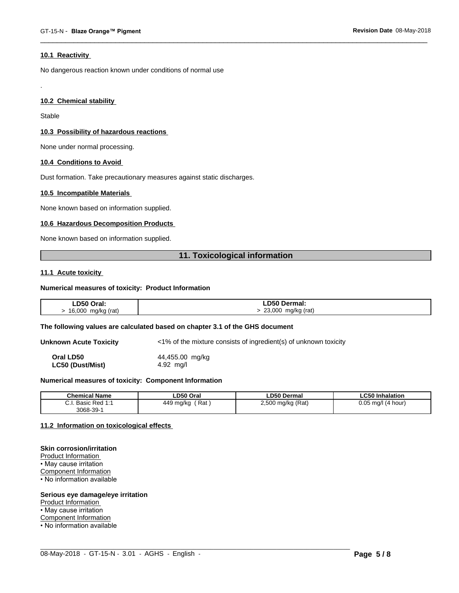#### **10.1 Reactivity**

No dangerous reaction known under conditions of normal use

#### **10.2 Chemical stability**

Stable

.

#### **10.3 Possibility of hazardous reactions**

None under normal processing.

#### **10.4 Conditions to Avoid**

Dust formation. Take precautionary measures against static discharges.

#### **10.5 Incompatible Materials**

None known based on information supplied.

#### **10.6 Hazardous Decomposition Products**

None known based on information supplied.

# **11. Toxicological information**

#### **11.1 Acute toxicity**

#### **Numerical measures of toxicity: Product Information**

| LD50 Oral:                 | ∟D50 Dermal:                                    |
|----------------------------|-------------------------------------------------|
| $16,000$ i.<br>mg/kg (rat) | 23,000<br>mg/kg (rat)<br>$\mathbf{r}$<br>$\sim$ |

#### **The following values are calculated based on chapter 3.1 of the GHS document**

**Unknown Acute Toxicity** <1% of the mixture consists of ingredient(s) of unknown toxicity

**Oral LD50** 44,455.00 mg/kg **LC50 (Dust/Mist)** 4.92 mg/l

#### **Numerical measures of toxicity: Component Information**

| <b>Chemical Name</b>                                                                | LD50 Oral        | <b>LD50 Dermal</b>     | <b>LC50 Inhalation</b>   |
|-------------------------------------------------------------------------------------|------------------|------------------------|--------------------------|
| $\sim$<br>$Dod$ 4.4<br><b>Dooin</b><br><b>D</b> asic<br>$\mathsf{r}$ Req.i.<br>υ.ι. | Rat<br>449 mg/kg | ) mg/kg (Rat)<br>2,500 | 0.05<br>(4 hour)<br>ma/l |
| $3068 - 39 - 7$                                                                     |                  |                        |                          |

 $\_$  ,  $\_$  ,  $\_$  ,  $\_$  ,  $\_$  ,  $\_$  ,  $\_$  ,  $\_$  ,  $\_$  ,  $\_$  ,  $\_$  ,  $\_$  ,  $\_$  ,  $\_$  ,  $\_$  ,  $\_$  ,  $\_$  ,  $\_$  ,  $\_$  ,  $\_$  ,  $\_$  ,  $\_$  ,  $\_$  ,  $\_$  ,  $\_$  ,  $\_$  ,  $\_$  ,  $\_$  ,  $\_$  ,  $\_$  ,  $\_$  ,  $\_$  ,  $\_$  ,  $\_$  ,  $\_$  ,  $\_$  ,  $\_$  ,

#### **11.2 Information on toxicologicaleffects**

#### **Skin corrosion/irritation**

Product Information • May cause irritation Component Information • No information available

#### **Serious eye damage/eye irritation**

Product Information

• May cause irritation

Component Information

• No information available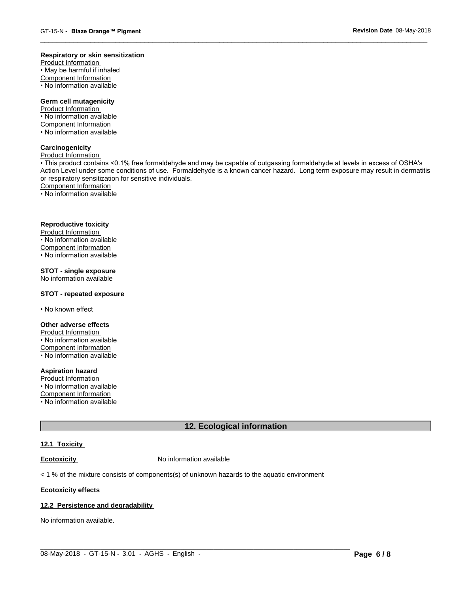#### **Respiratory or skin sensitization**

Product Information  $\overline{\cdot}$  May be harmful if inhaled Component Information • No information available

# **Germ cell mutagenicity**

Product Information • No information available Component Information • No information available

# **Carcinogenicity**

Product Information

• This product contains <0.1% free formaldehyde and may be capable of outgassing formaldehyde at levels in excess of OSHA's Action Level under some conditions of use. Formaldehyde is a known cancer hazard. Long term exposure may result in dermatitis or respiratory sensitization for sensitive individuals.Component Information

• No information available

#### **Reproductive toxicity**

Product Information • No information available

Component Information

• No information available

# **STOT - single exposure**

No information available

#### **STOT - repeated exposure**

• No known effect

#### **Other adverse effects**

Product Information • No information available Component Information

• No information available

# **Aspiration hazard**

Product Information • No information available

Component Information

• No information available

# **12. Ecological information**

#### **12.1 Toxicity**

**Ecotoxicity No information available** 

 $<$  1 % of the mixture consists of components(s) of unknown hazards to the aquatic environment

#### **Ecotoxicity effects**

#### **12.2 Persistence and degradability**

No information available.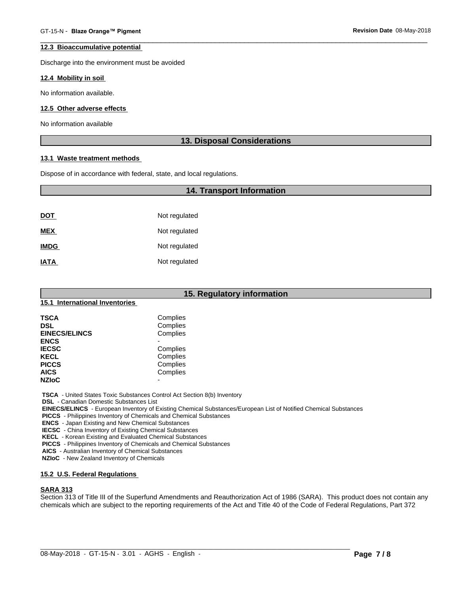#### **12.3 Bioaccumulative potential**

Discharge into the environment must be avoided

#### **12.4 Mobility in soil**

No information available.

#### **12.5 Other adverse effects**

No information available

### **13. Disposal Considerations**

#### **13.1 Waste treatment methods**

Dispose of in accordance with federal, state, and local regulations.

# **14. Transport Information**

| <u>DOT</u>  | Not regulated |
|-------------|---------------|
| <b>MEX</b>  | Not regulated |
| <b>IMDG</b> | Not regulated |
| <b>IATA</b> | Not regulated |

|                                | 15. Regulatory information |
|--------------------------------|----------------------------|
| 15.1 International Inventories |                            |
| <b>TSCA</b>                    | Complies                   |
| <b>DSL</b>                     | Complies                   |
| <b>EINECS/ELINCS</b>           | Complies                   |
| <b>ENCS</b>                    |                            |
| <b>IECSC</b>                   | Complies                   |
| <b>KECL</b>                    | Complies                   |
| <b>PICCS</b>                   | Complies                   |
| <b>AICS</b>                    | Complies                   |
| <b>NZIoC</b>                   | $\overline{a}$             |

 **TSCA** - United States Toxic Substances Control Act Section 8(b) Inventory

 **DSL** - Canadian Domestic Substances List

 **EINECS/ELINCS** - European Inventory of Existing Chemical Substances/European List of Notified Chemical Substances

 **PICCS** - Philippines Inventory of Chemicals and Chemical Substances

 **ENCS** - Japan Existing and New Chemical Substances

 **IECSC** - China Inventory of Existing Chemical Substances

 **KECL** - Korean Existing and Evaluated Chemical Substances

 **PICCS** - Philippines Inventory of Chemicals and Chemical Substances

 **AICS** - Australian Inventory of Chemical Substances

 **NZIoC** - New Zealand Inventory of Chemicals

# **15.2 U.S. Federal Regulations**

# **SARA 313**

Section 313 of Title III of the Superfund Amendments and Reauthorization Act of 1986 (SARA). This product does not contain any chemicals which are subject to the reporting requirements of the Act and Title 40 of the Code of Federal Regulations, Part 372